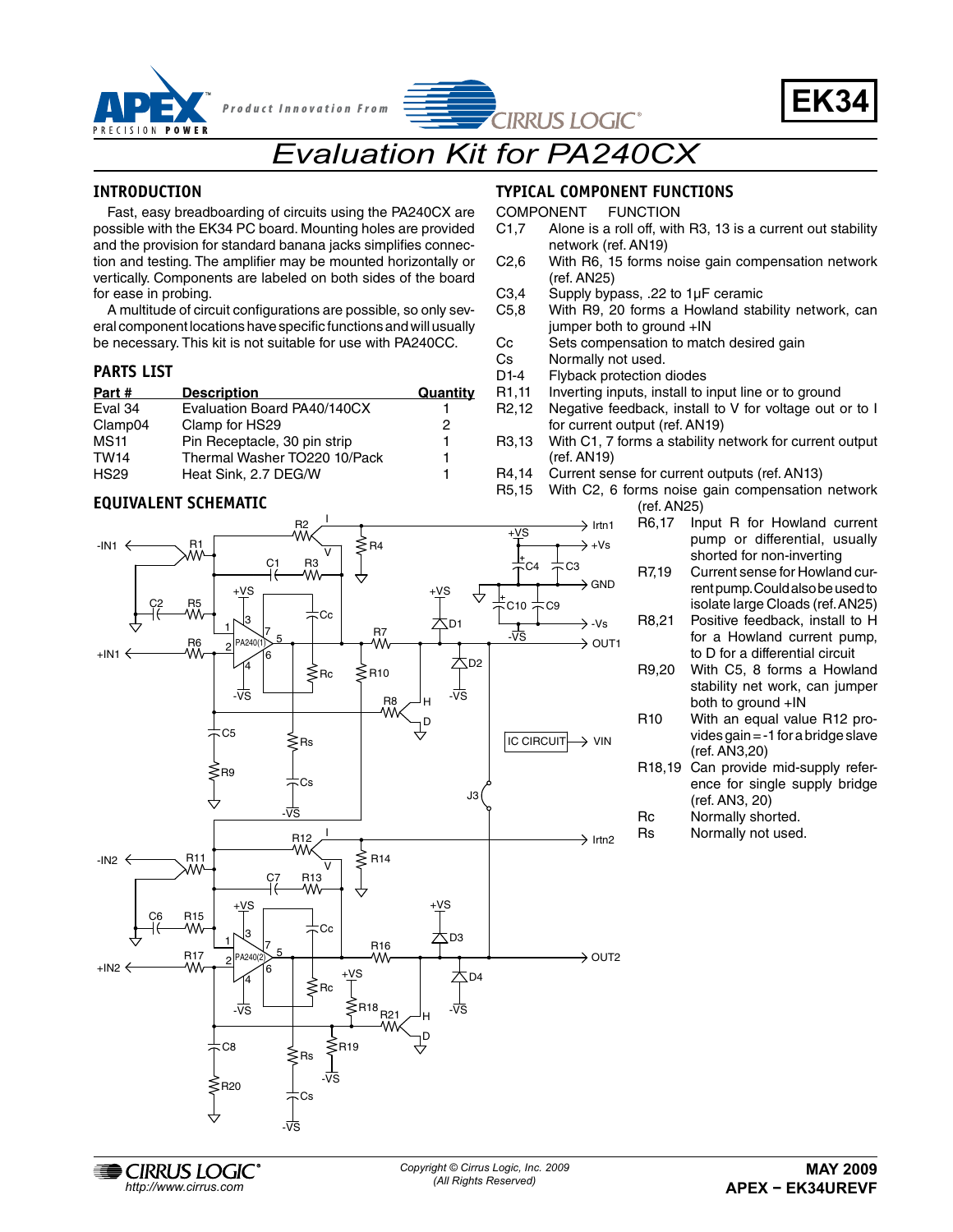



# *Evaluation Kit for PA240CX*

#### **INTRODUCTION**

PRECISION POWER

Fast, easy breadboarding of circuits using the PA240CX are possible with the EK34 PC board. Mounting holes are provided and the provision for standard banana jacks simplifies connection and testing. The amplifier may be mounted horizontally or vertically. Components are labeled on both sides of the board for ease in probing.

A multitude of circuit configurations are possible, so only several component locations have specific functions and will usually be necessary. This kit is not suitable for use with PA240CC.

#### **PARTS LIST**

| Part#       | <b>Description</b>           | Quantity |
|-------------|------------------------------|----------|
| Eval 34     | Evaluation Board PA40/140CX  |          |
| Clamp04     | Clamp for HS29               | 2        |
| <b>MS11</b> | Pin Receptacle, 30 pin strip |          |
| <b>TW14</b> | Thermal Washer TO220 10/Pack |          |
| <b>HS29</b> | Heat Sink, 2.7 DEG/W         |          |

R2

I

#### **EQUIVALENT SCHEMATIC**

### **TYPICAL COMPONENT FUNCTIONS**

COMPONENT FUNCTION

- C1,7 Alone is a roll off, with R3, 13 is a current out stability network (ref. AN19)
- C2,6 With R6, 15 forms noise gain compensation network (ref. AN25)
- C3,4 Supply bypass, .22 to  $1\mu$ F ceramic C5,8 With R9, 20 forms a Howland stat
- With R9, 20 forms a Howland stability network, can jumper both to ground +IN
- Cc Sets compensation to match desired gain<br>Cs Normally not used
- Cs Normally not used.<br>D1-4 Flyback protection

 $\rightarrow$  Irtn1

- Flyback protection diodes
- R1,11 Inverting inputs, install to input line or to ground
- R2,12 Negative feedback, install to V for voltage out or to I for current output (ref. AN19)
- R3,13 With C1, 7 forms a stability network for current output (ref. AN19)
- R4,14 Current sense for current outputs (ref. AN13)
- R5,15 With C2, 6 forms noise gain compensation network (ref. AN25)
	- R6,17 Input R for Howland current pump or differential, usually shorted for non-inverting
	- R7,19 Current sense for Howland current pump. Could also be used to isolate large Cloads (ref. AN25)
	- R8,21 Positive feedback, install to H for a Howland current pump, to D for a differential circuit
	- R9,20 With C5, 8 forms a Howland stability net work, can jumper both to ground +IN
	- R10 With an equal value R12 provides gain = -1 for a bridge slave (ref. AN3,20)
	- R18,19 Can provide mid-supply reference for single supply bridge (ref. AN3, 20)
	- Rc Normally shorted.
	- Rs Normally not used.



**EXAMPLE CIRRUS LOGIC** Copyright © Cirrus Logic, Inc. **Copyright © Cirrus Logic, Inc.** *(All Rights Reserved) http://www.cirrus.com*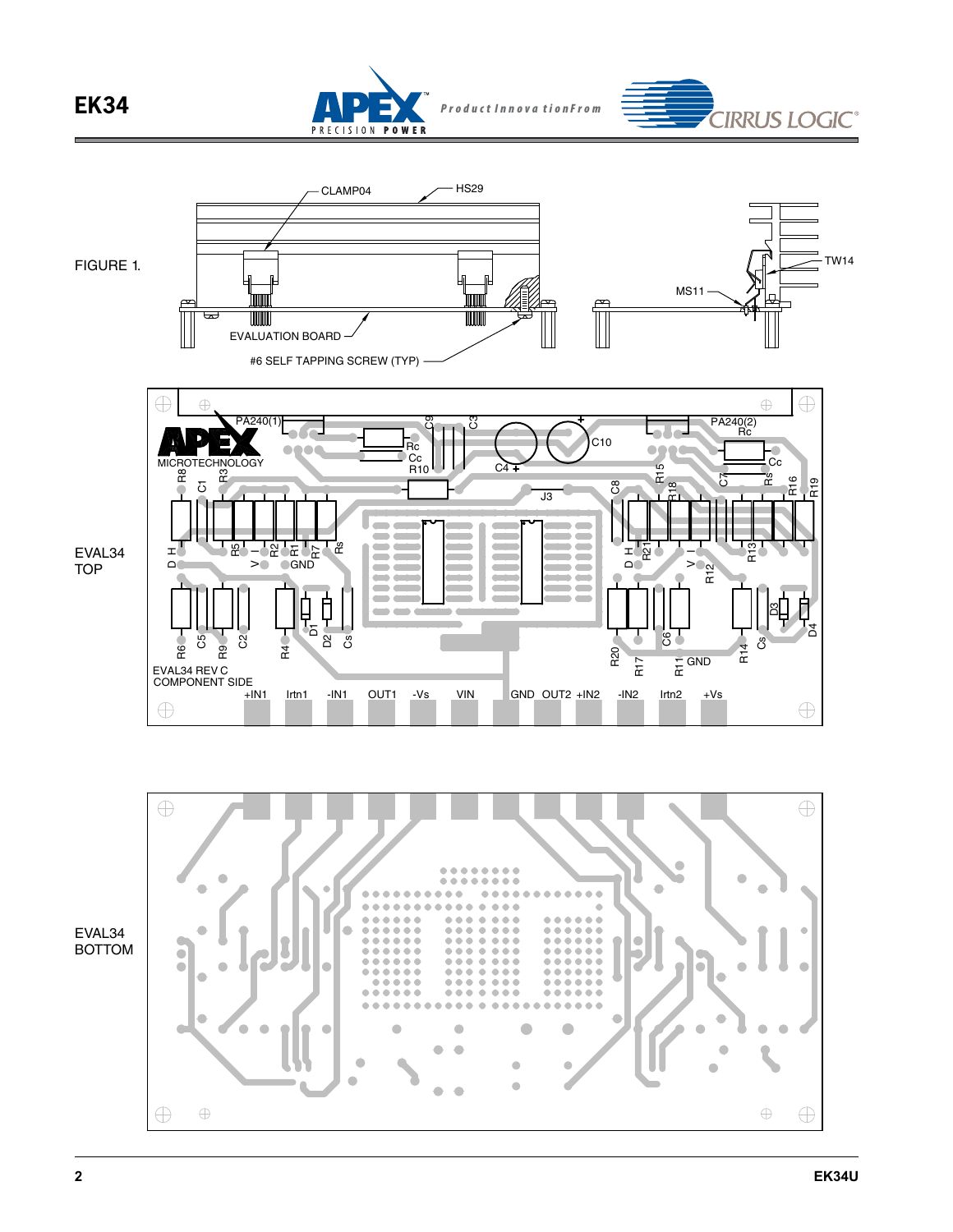

PRECISION POWER



**IRRUS LOGIC®**